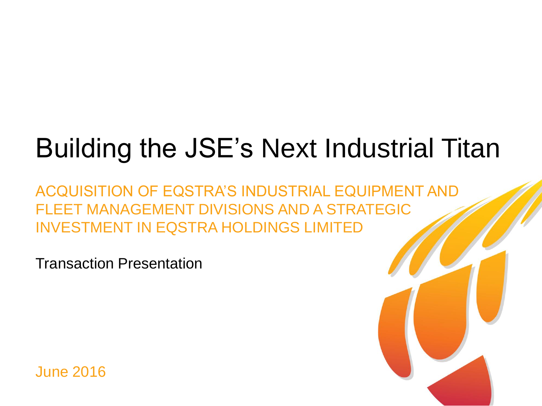# Building the JSE's Next Industrial Titan

ACQUISITION OF EQSTRA'S INDUSTRIAL EQUIPMENT AND FLEET MANAGEMENT DIVISIONS AND A STRATEGIC INVESTMENT IN EQSTRA HOLDINGS LIMITED

Transaction Presentation

June 2016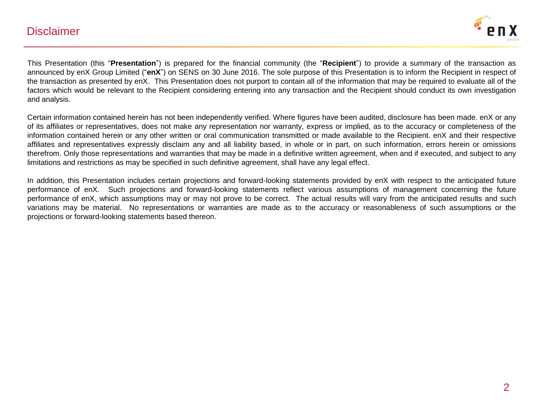### **Disclaimer**



This Presentation (this "**Presentation**") is prepared for the financial community (the "**Recipient**") to provide a summary of the transaction as announced by enX Group Limited ("**enX**") on SENS on 30 June 2016. The sole purpose of this Presentation is to inform the Recipient in respect of the transaction as presented by enX. This Presentation does not purport to contain all of the information that may be required to evaluate all of the factors which would be relevant to the Recipient considering entering into any transaction and the Recipient should conduct its own investigation and analysis.

Certain information contained herein has not been independently verified. Where figures have been audited, disclosure has been made. enX or any of its affiliates or representatives, does not make any representation nor warranty, express or implied, as to the accuracy or completeness of the information contained herein or any other written or oral communication transmitted or made available to the Recipient. enX and their respective affiliates and representatives expressly disclaim any and all liability based, in whole or in part, on such information, errors herein or omissions therefrom. Only those representations and warranties that may be made in a definitive written agreement, when and if executed, and subject to any limitations and restrictions as may be specified in such definitive agreement, shall have any legal effect.

In addition, this Presentation includes certain projections and forward-looking statements provided by enX with respect to the anticipated future performance of enX. Such projections and forward-looking statements reflect various assumptions of management concerning the future performance of enX, which assumptions may or may not prove to be correct. The actual results will vary from the anticipated results and such variations may be material. No representations or warranties are made as to the accuracy or reasonableness of such assumptions or the projections or forward-looking statements based thereon.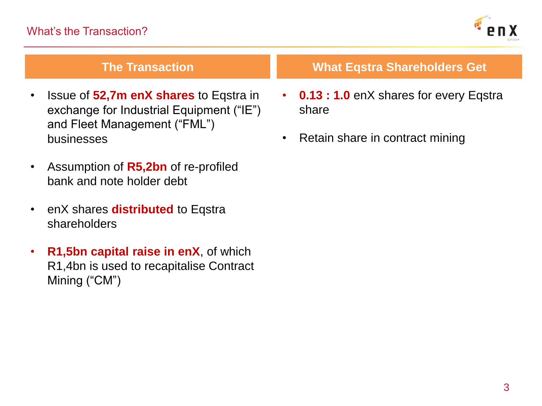

- Issue of **52,7m enX shares** to Eqstra in exchange for Industrial Equipment ("IE") and Fleet Management ("FML") businesses
- Assumption of **R5,2bn** of re-profiled bank and note holder debt
- enX shares **distributed** to Eqstra shareholders
- **R1,5bn capital raise in enX**, of which R1,4bn is used to recapitalise Contract Mining ("CM")

# **The Transaction What Eqstra Shareholders Get**

- **0.13 : 1.0** enX shares for every Eqstra share
- Retain share in contract mining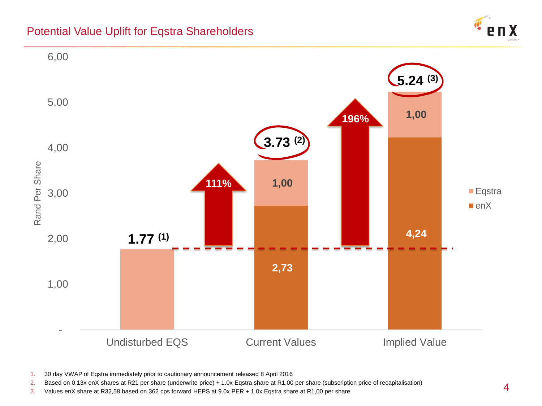## Potential Value Uplift for Eqstra Shareholders





- 1. 30 day VWAP of Eqstra immediately prior to cautionary announcement released 8 April 2016
- 2. Based on 0.13x enX shares at R21 per share (underwrite price) + 1.0x Eqstra share at R1,00 per share (subscription price of recapitalisation)
- 3. Values enX share at R32,58 based on 362 cps forward HEPS at 9.0x PER + 1.0x Eqstra share at R1,00 per share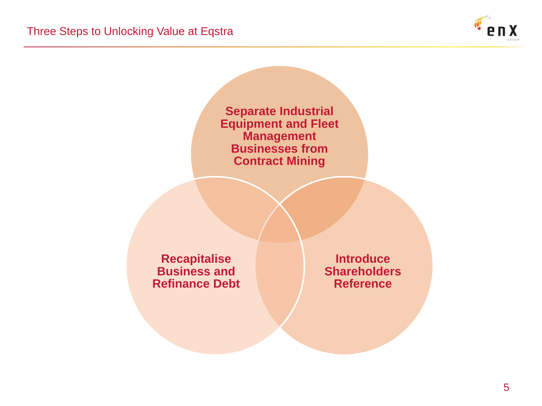

**Separate Industrial Equipment and Fleet Management Businesses from Contract Mining**

**Recapitalise Business and Refinance Debt**

**Introduce Shareholders Reference**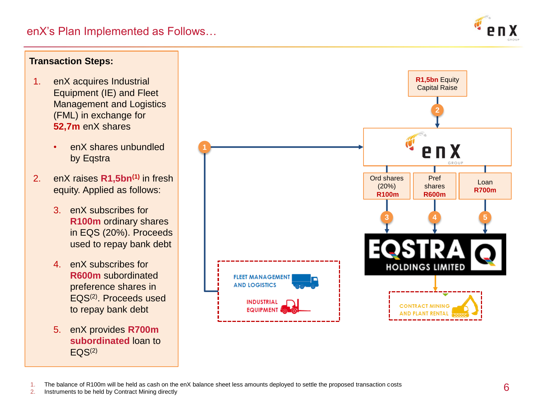

### **Transaction Steps: R1,5bn** Equity 1. enX acquires Industrial Capital Raise Equipment (IE) and Fleet Management and Logistics **2** (FML) in exchange for **52,7m** enX shares • enX shares unbundled by Eqstra GROU 2. enX raises **R1,5bn(1)** in fresh Ord shares Pref Loan (20%) shares equity. Applied as follows: **R700m R100m R600m**3. enX subscribes for **3 4 5 R100m** ordinary shares in EQS (20%). Proceeds used to repay bank debt 4. enX subscribes for **HOLDINGS LIMITED R600m** subordinated **FLEET MANAGEMENT AND LOGISTICS** preference shares in EQS(2). Proceeds used **INDUSTRIAL CONTRACT MINING** to repay bank debt **EQUIPMEN AND PLANT RENT** 5. enX provides **R700m**

1. The balance of R100m will be held as cash on the enX balance sheet less amounts deployed to settle the proposed transaction costs

2. Instruments to be held by Contract Mining directly

 $EQS<sup>(2)</sup>$ 

**subordinated** loan to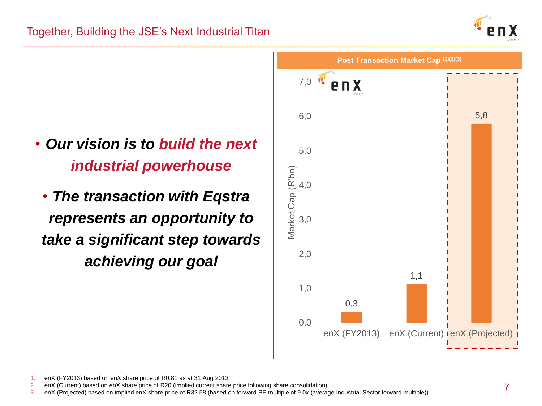

- *Our vision is to build the next industrial powerhouse*
- *The transaction with Eqstra represents an opportunity to take a significant step towards achieving our goal*



1. enX (FY2013) based on enX share price of R0.81 as at 31 Aug 2013

2. enX (Current) based on enX share price of R20 (implied current share price following share consolidation)

3. enX (Projected) based on implied enX share price of R32.58 (based on forward PE multiple of 9.0x (average Industrial Sector forward multiple))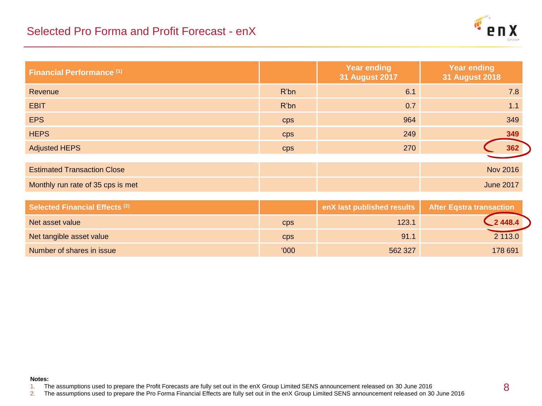### Selected Pro Forma and Profit Forecast - enX



| <b>Financial Performance (1)</b>      |      | <b>Year ending</b><br><b>31 August 2017</b> | <b>Year ending</b><br><b>31 August 2018</b> |
|---------------------------------------|------|---------------------------------------------|---------------------------------------------|
| Revenue                               | R'bn | 6.1                                         | 7.8                                         |
| <b>EBIT</b>                           | R'bn | 0.7                                         | 1.1                                         |
| <b>EPS</b>                            | cps  | 964                                         | 349                                         |
| <b>HEPS</b>                           | cps  | 249                                         | 349                                         |
| <b>Adjusted HEPS</b>                  | cps  | 270                                         | 362                                         |
|                                       |      |                                             |                                             |
| <b>Estimated Transaction Close</b>    |      |                                             | <b>Nov 2016</b>                             |
| Monthly run rate of 35 cps is met     |      |                                             | <b>June 2017</b>                            |
|                                       |      |                                             |                                             |
| <b>Selected Financial Effects (2)</b> |      | enX last published results                  | <b>After Eqstra transaction</b>             |
| Net asset value                       | cps  | 123.1                                       | 2448.4                                      |
| Net tangible asset value              | cps  | 91.1                                        | 2 113.0                                     |

Number of shares in issue the contract of shares in issue that the contract of the contract of shares in issue the contract of the contract of the contract of the contract of the contract of the contract of the contract of

### **Notes:**

1. The assumptions used to prepare the Profit Forecasts are fully set out in the enX Group Limited SENS announcement released on 30 June 2016

2. The assumptions used to prepare the Pro Forma Financial Effects are fully set out in the enX Group Limited SENS announcement released on 30 June 2016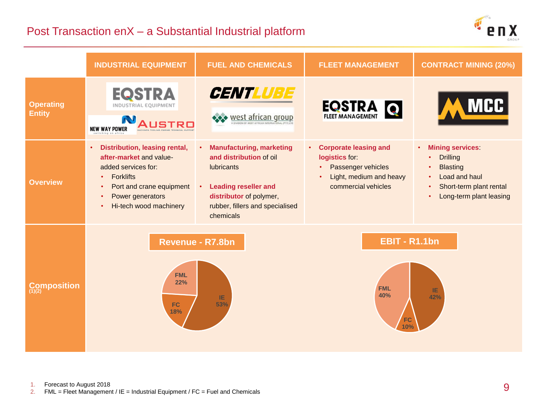# Post Transaction enX – a Substantial Industrial platform



|                                   | <b>INDUSTRIAL EQUIPMENT</b>                                                                                                                                                                                                                    | <b>FUEL AND CHEMICALS</b>                                                                                                                                                                                      | <b>FLEET MANAGEMENT</b>                                                                                           | <b>CONTRACT MINING (20%)</b>                                                                                                                                                               |
|-----------------------------------|------------------------------------------------------------------------------------------------------------------------------------------------------------------------------------------------------------------------------------------------|----------------------------------------------------------------------------------------------------------------------------------------------------------------------------------------------------------------|-------------------------------------------------------------------------------------------------------------------|--------------------------------------------------------------------------------------------------------------------------------------------------------------------------------------------|
| <b>Operating</b><br><b>Entity</b> | <b>EQSTRA</b><br>INDUSTRIAL EOUIPMENT<br><b>NEW WAY POWER</b>                                                                                                                                                                                  | <b>CENTLUBE</b><br>*** west african group                                                                                                                                                                      | <b>EQSTRA</b>                                                                                                     | <b>MCC</b>                                                                                                                                                                                 |
| <b>Overview</b>                   | Distribution, leasing rental,<br>$\bullet$<br>after-market and value-<br>added services for:<br><b>Forklifts</b><br>$\bullet$<br>Port and crane equipment<br>$\bullet$<br>Power generators<br>$\bullet$<br>Hi-tech wood machinery<br>$\bullet$ | <b>Manufacturing, marketing</b><br>$\bullet$<br>and distribution of oil<br>lubricants<br><b>Leading reseller and</b><br>$\bullet$ .<br>distributor of polymer,<br>rubber, fillers and specialised<br>chemicals | • Corporate leasing and<br>logistics for:<br>Passenger vehicles<br>Light, medium and heavy<br>commercial vehicles | <b>Mining services:</b><br>$\bullet$ .<br><b>Drilling</b><br>$\bullet$<br><b>Blasting</b><br>Load and haul<br>$\bullet$<br>Short-term plant rental<br>$\bullet$<br>Long-term plant leasing |
| Composition                       | <b>EBIT - R1.1bn</b><br>Revenue - R7.8bn<br><b>FML</b><br>22%<br><b>FML</b><br>IE.<br>40%<br>42%<br>IE.<br>53%<br><b>FC</b><br>18%<br>FC                                                                                                       |                                                                                                                                                                                                                |                                                                                                                   |                                                                                                                                                                                            |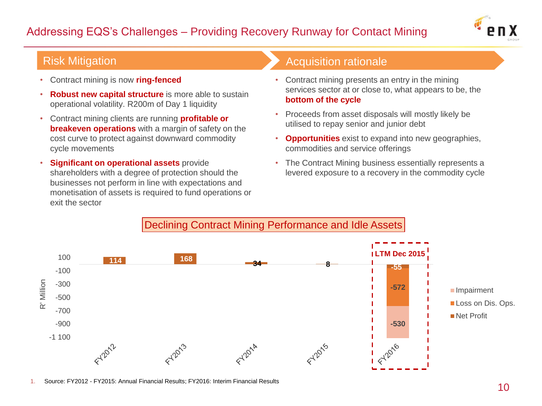# Addressing EQS's Challenges – Providing Recovery Runway for Contact Mining



- Contract mining is now **ring-fenced**
- **Robust new capital structure** is more able to sustain operational volatility. R200m of Day 1 liquidity
- Contract mining clients are running **profitable or breakeven operations** with a margin of safety on the cost curve to protect against downward commodity cycle movements
- **Significant on operational assets** provide shareholders with a degree of protection should the businesses not perform in line with expectations and monetisation of assets is required to fund operations or exit the sector

### Risk Mitigation **Acquisition Risk Mitigation**

- Contract mining presents an entry in the mining services sector at or close to, what appears to be, the **bottom of the cycle**
- Proceeds from asset disposals will mostly likely be utilised to repay senior and junior debt
- **Opportunities** exist to expand into new geographies, commodities and service offerings
- The Contract Mining business essentially represents a levered exposure to a recovery in the commodity cycle



1. Source: FY2012 - FY2015: Annual Financial Results; FY2016: Interim Financial Results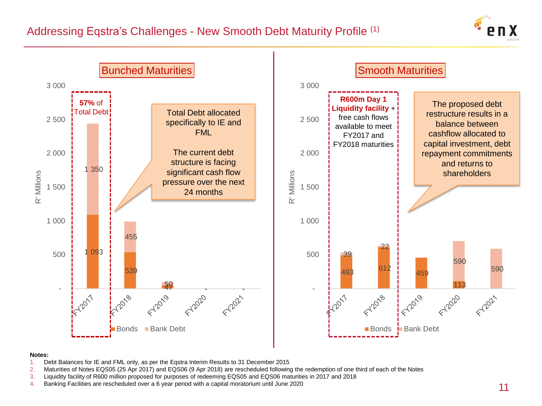



### **Notes:**

- 1. Debt Balances for IE and FML only, as per the Eqstra Interim Results to 31 December 2015
- 2. Maturities of Notes EQS05 (25 Apr 2017) and EQS06 (9 Apr 2018) are rescheduled following the redemption of one third of each of the Notes
- 3. Liquidity facility of R600 million proposed for purposes of redeeming EQS05 and EQS06 maturities in 2017 and 2018
- 4. Banking Facilities are rescheduled over a 6 year period with a capital moratorium until June 2020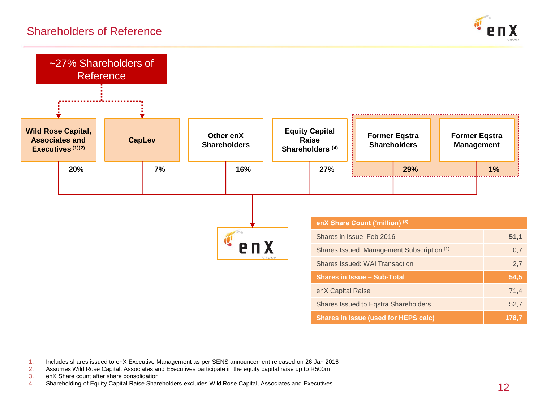### Shareholders of Reference





1. Includes shares issued to enX Executive Management as per SENS announcement released on 26 Jan 2016

2. Assumes Wild Rose Capital, Associates and Executives participate in the equity capital raise up to R500m<br>3. enX Share count after share consolidation

enX Share count after share consolidation

4. Shareholding of Equity Capital Raise Shareholders excludes Wild Rose Capital, Associates and Executives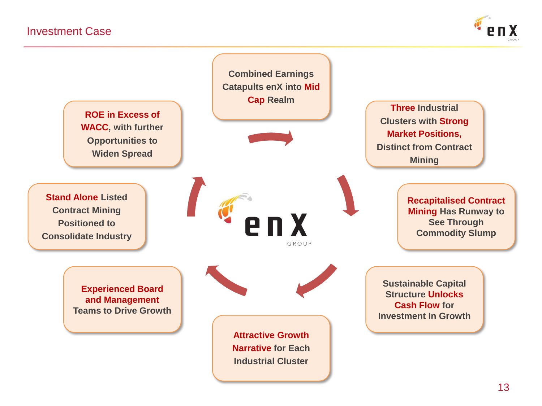

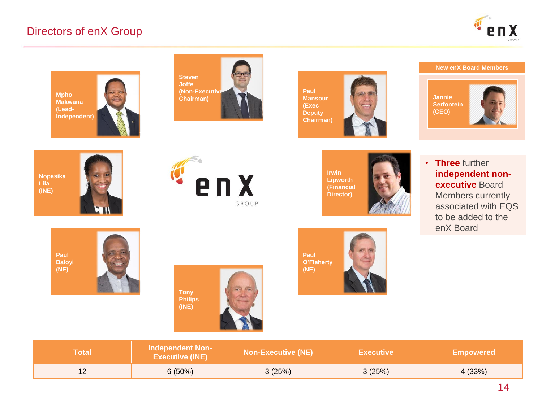### Directors of enX Group







**Paul Mansour (Exec Deputy Chairman)**

### **New enX Board Members**



**Nopasika Lila (INE)**







**independent nonexecutive** Board Members currently associated with EQS to be added to the enX Board

• **Three** further













**Paul O'Flaherty (NE)**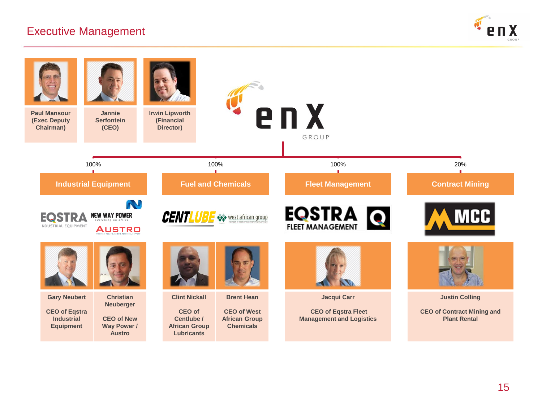### Executive Management